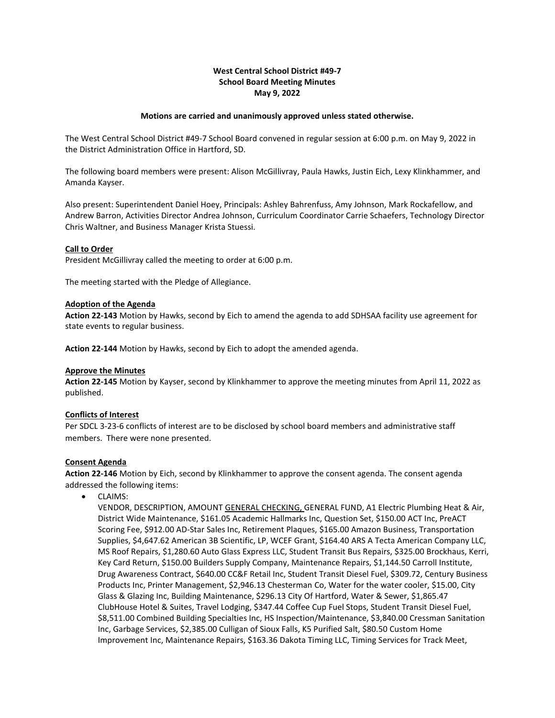# **West Central School District #49-7 School Board Meeting Minutes May 9, 2022**

### **Motions are carried and unanimously approved unless stated otherwise.**

The West Central School District #49-7 School Board convened in regular session at 6:00 p.m. on May 9, 2022 in the District Administration Office in Hartford, SD.

The following board members were present: Alison McGillivray, Paula Hawks, Justin Eich, Lexy Klinkhammer, and Amanda Kayser.

Also present: Superintendent Daniel Hoey, Principals: Ashley Bahrenfuss, Amy Johnson, Mark Rockafellow, and Andrew Barron, Activities Director Andrea Johnson, Curriculum Coordinator Carrie Schaefers, Technology Director Chris Waltner, and Business Manager Krista Stuessi.

#### **Call to Order**

President McGillivray called the meeting to order at 6:00 p.m.

The meeting started with the Pledge of Allegiance.

#### **Adoption of the Agenda**

**Action 22-143** Motion by Hawks, second by Eich to amend the agenda to add SDHSAA facility use agreement for state events to regular business.

**Action 22-144** Motion by Hawks, second by Eich to adopt the amended agenda.

### **Approve the Minutes**

**Action 22-145** Motion by Kayser, second by Klinkhammer to approve the meeting minutes from April 11, 2022 as published.

### **Conflicts of Interest**

Per SDCL 3-23-6 conflicts of interest are to be disclosed by school board members and administrative staff members. There were none presented.

### **Consent Agenda**

**Action 22-146** Motion by Eich, second by Klinkhammer to approve the consent agenda. The consent agenda addressed the following items:

• CLAIMS:

VENDOR, DESCRIPTION, AMOUNT GENERAL CHECKING, GENERAL FUND, A1 Electric Plumbing Heat & Air, District Wide Maintenance, \$161.05 Academic Hallmarks Inc, Question Set, \$150.00 ACT Inc, PreACT Scoring Fee, \$912.00 AD-Star Sales Inc, Retirement Plaques, \$165.00 Amazon Business, Transportation Supplies, \$4,647.62 American 3B Scientific, LP, WCEF Grant, \$164.40 ARS A Tecta American Company LLC, MS Roof Repairs, \$1,280.60 Auto Glass Express LLC, Student Transit Bus Repairs, \$325.00 Brockhaus, Kerri, Key Card Return, \$150.00 Builders Supply Company, Maintenance Repairs, \$1,144.50 Carroll Institute, Drug Awareness Contract, \$640.00 CC&F Retail Inc, Student Transit Diesel Fuel, \$309.72, Century Business Products Inc, Printer Management, \$2,946.13 Chesterman Co, Water for the water cooler, \$15.00, City Glass & Glazing Inc, Building Maintenance, \$296.13 City Of Hartford, Water & Sewer, \$1,865.47 ClubHouse Hotel & Suites, Travel Lodging, \$347.44 Coffee Cup Fuel Stops, Student Transit Diesel Fuel, \$8,511.00 Combined Building Specialties Inc, HS Inspection/Maintenance, \$3,840.00 Cressman Sanitation Inc, Garbage Services, \$2,385.00 Culligan of Sioux Falls, K5 Purified Salt, \$80.50 Custom Home Improvement Inc, Maintenance Repairs, \$163.36 Dakota Timing LLC, Timing Services for Track Meet,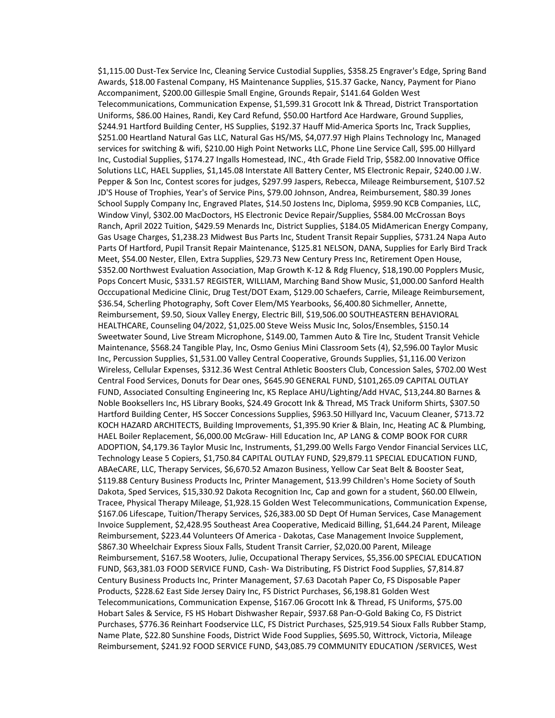\$1,115.00 Dust-Tex Service Inc, Cleaning Service Custodial Supplies, \$358.25 Engraver's Edge, Spring Band Awards, \$18.00 Fastenal Company, HS Maintenance Supplies, \$15.37 Gacke, Nancy, Payment for Piano Accompaniment, \$200.00 Gillespie Small Engine, Grounds Repair, \$141.64 Golden West Telecommunications, Communication Expense, \$1,599.31 Grocott Ink & Thread, District Transportation Uniforms, \$86.00 Haines, Randi, Key Card Refund, \$50.00 Hartford Ace Hardware, Ground Supplies, \$244.91 Hartford Building Center, HS Supplies, \$192.37 Hauff Mid-America Sports Inc, Track Supplies, \$251.00 Heartland Natural Gas LLC, Natural Gas HS/MS, \$4,077.97 High Plains Technology Inc, Managed services for switching & wifi, \$210.00 High Point Networks LLC, Phone Line Service Call, \$95.00 Hillyard Inc, Custodial Supplies, \$174.27 Ingalls Homestead, INC., 4th Grade Field Trip, \$582.00 Innovative Office Solutions LLC, HAEL Supplies, \$1,145.08 Interstate All Battery Center, MS Electronic Repair, \$240.00 J.W. Pepper & Son Inc, Contest scores for judges, \$297.99 Jaspers, Rebecca, Mileage Reimbursement, \$107.52 JD'S House of Trophies, Year's of Service Pins, \$79.00 Johnson, Andrea, Reimbursement, \$80.39 Jones School Supply Company Inc, Engraved Plates, \$14.50 Jostens Inc, Diploma, \$959.90 KCB Companies, LLC, Window Vinyl, \$302.00 MacDoctors, HS Electronic Device Repair/Supplies, \$584.00 McCrossan Boys Ranch, April 2022 Tuition, \$429.59 Menards Inc, District Supplies, \$184.05 MidAmerican Energy Company, Gas Usage Charges, \$1,238.23 Midwest Bus Parts Inc, Student Transit Repair Supplies, \$731.24 Napa Auto Parts Of Hartford, Pupil Transit Repair Maintenance, \$125.81 NELSON, DANA, Supplies for Early Bird Track Meet, \$54.00 Nester, Ellen, Extra Supplies, \$29.73 New Century Press Inc, Retirement Open House, \$352.00 Northwest Evaluation Association, Map Growth K-12 & Rdg Fluency, \$18,190.00 Popplers Music, Pops Concert Music, \$331.57 REGISTER, WILLIAM, Marching Band Show Music, \$1,000.00 Sanford Health Occcupational Medicine Clinic, Drug Test/DOT Exam, \$129.00 Schaefers, Carrie, Mileage Reimbursement, \$36.54, Scherling Photography, Soft Cover Elem/MS Yearbooks, \$6,400.80 Sichmeller, Annette, Reimbursement, \$9.50, Sioux Valley Energy, Electric Bill, \$19,506.00 SOUTHEASTERN BEHAVIORAL HEALTHCARE, Counseling 04/2022, \$1,025.00 Steve Weiss Music Inc, Solos/Ensembles, \$150.14 Sweetwater Sound, Live Stream Microphone, \$149.00, Tammen Auto & Tire Inc, Student Transit Vehicle Maintenance, \$568.24 Tangible Play, Inc, Osmo Genius Mini Classroom Sets (4), \$2,596.00 Taylor Music Inc, Percussion Supplies, \$1,531.00 Valley Central Cooperative, Grounds Supplies, \$1,116.00 Verizon Wireless, Cellular Expenses, \$312.36 West Central Athletic Boosters Club, Concession Sales, \$702.00 West Central Food Services, Donuts for Dear ones, \$645.90 GENERAL FUND, \$101,265.09 CAPITAL OUTLAY FUND, Associated Consulting Engineering Inc, K5 Replace AHU/Lighting/Add HVAC, \$13,244.80 Barnes & Noble Booksellers Inc, HS Library Books, \$24.49 Grocott Ink & Thread, MS Track Uniform Shirts, \$307.50 Hartford Building Center, HS Soccer Concessions Supplies, \$963.50 Hillyard Inc, Vacuum Cleaner, \$713.72 KOCH HAZARD ARCHITECTS, Building Improvements, \$1,395.90 Krier & Blain, Inc, Heating AC & Plumbing, HAEL Boiler Replacement, \$6,000.00 McGraw- Hill Education Inc, AP LANG & COMP BOOK FOR CURR ADOPTION, \$4,179.36 Taylor Music Inc, Instruments, \$1,299.00 Wells Fargo Vendor Financial Services LLC, Technology Lease 5 Copiers, \$1,750.84 CAPITAL OUTLAY FUND, \$29,879.11 SPECIAL EDUCATION FUND, ABAeCARE, LLC, Therapy Services, \$6,670.52 Amazon Business, Yellow Car Seat Belt & Booster Seat, \$119.88 Century Business Products Inc, Printer Management, \$13.99 Children's Home Society of South Dakota, Sped Services, \$15,330.92 Dakota Recognition Inc, Cap and gown for a student, \$60.00 Ellwein, Tracee, Physical Therapy Mileage, \$1,928.15 Golden West Telecommunications, Communication Expense, \$167.06 Lifescape, Tuition/Therapy Services, \$26,383.00 SD Dept Of Human Services, Case Management Invoice Supplement, \$2,428.95 Southeast Area Cooperative, Medicaid Billing, \$1,644.24 Parent, Mileage Reimbursement, \$223.44 Volunteers Of America - Dakotas, Case Management Invoice Supplement, \$867.30 Wheelchair Express Sioux Falls, Student Transit Carrier, \$2,020.00 Parent, Mileage Reimbursement, \$167.58 Wooters, Julie, Occupational Therapy Services, \$5,356.00 SPECIAL EDUCATION FUND, \$63,381.03 FOOD SERVICE FUND, Cash- Wa Distributing, FS District Food Supplies, \$7,814.87 Century Business Products Inc, Printer Management, \$7.63 Dacotah Paper Co, FS Disposable Paper Products, \$228.62 East Side Jersey Dairy Inc, FS District Purchases, \$6,198.81 Golden West Telecommunications, Communication Expense, \$167.06 Grocott Ink & Thread, FS Uniforms, \$75.00 Hobart Sales & Service, FS HS Hobart Dishwasher Repair, \$937.68 Pan-O-Gold Baking Co, FS District Purchases, \$776.36 Reinhart Foodservice LLC, FS District Purchases, \$25,919.54 Sioux Falls Rubber Stamp, Name Plate, \$22.80 Sunshine Foods, District Wide Food Supplies, \$695.50, Wittrock, Victoria, Mileage Reimbursement, \$241.92 FOOD SERVICE FUND, \$43,085.79 COMMUNITY EDUCATION /SERVICES, West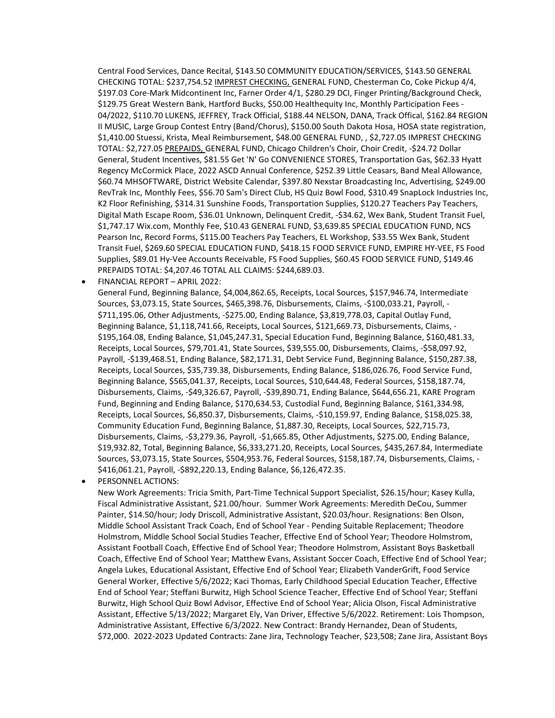Central Food Services, Dance Recital, \$143.50 COMMUNITY EDUCATION/SERVICES, \$143.50 GENERAL CHECKING TOTAL: \$237,754.52 IMPREST CHECKING, GENERAL FUND, Chesterman Co, Coke Pickup 4/4, \$197.03 Core-Mark Midcontinent Inc, Farner Order 4/1, \$280.29 DCI, Finger Printing/Background Check, \$129.75 Great Western Bank, Hartford Bucks, \$50.00 Healthequity Inc, Monthly Participation Fees - 04/2022, \$110.70 LUKENS, JEFFREY, Track Official, \$188.44 NELSON, DANA, Track Offical, \$162.84 REGION II MUSIC, Large Group Contest Entry (Band/Chorus), \$150.00 South Dakota Hosa, HOSA state registration, \$1,410.00 Stuessi, Krista, Meal Reimbursement, \$48.00 GENERAL FUND, , \$2,727.05 IMPREST CHECKING TOTAL: \$2,727.05 PREPAIDS, GENERAL FUND, Chicago Children's Choir, Choir Credit, -\$24.72 Dollar General, Student Incentives, \$81.55 Get 'N' Go CONVENIENCE STORES, Transportation Gas, \$62.33 Hyatt Regency McCormick Place, 2022 ASCD Annual Conference, \$252.39 Little Ceasars, Band Meal Allowance, \$60.74 MHSOFTWARE, District Website Calendar, \$397.80 Nexstar Broadcasting Inc, Advertising, \$249.00 RevTrak Inc, Monthly Fees, \$56.70 Sam's Direct Club, HS Quiz Bowl Food, \$310.49 SnapLock Industries Inc, K2 Floor Refinishing, \$314.31 Sunshine Foods, Transportation Supplies, \$120.27 Teachers Pay Teachers, Digital Math Escape Room, \$36.01 Unknown, Delinquent Credit, -\$34.62, Wex Bank, Student Transit Fuel, \$1,747.17 Wix.com, Monthly Fee, \$10.43 GENERAL FUND, \$3,639.85 SPECIAL EDUCATION FUND, NCS Pearson Inc, Record Forms, \$115.00 Teachers Pay Teachers, EL Workshop, \$33.55 Wex Bank, Student Transit Fuel, \$269.60 SPECIAL EDUCATION FUND, \$418.15 FOOD SERVICE FUND, EMPIRE HY-VEE, FS Food Supplies, \$89.01 Hy-Vee Accounts Receivable, FS Food Supplies, \$60.45 FOOD SERVICE FUND, \$149.46 PREPAIDS TOTAL: \$4,207.46 TOTAL ALL CLAIMS: \$244,689.03.

• FINANCIAL REPORT – APRIL 2022:

General Fund, Beginning Balance, \$4,004,862.65, Receipts, Local Sources, \$157,946.74, Intermediate Sources, \$3,073.15, State Sources, \$465,398.76, Disbursements, Claims, -\$100,033.21, Payroll, - \$711,195.06, Other Adjustments, -\$275.00, Ending Balance, \$3,819,778.03, Capital Outlay Fund, Beginning Balance, \$1,118,741.66, Receipts, Local Sources, \$121,669.73, Disbursements, Claims, - \$195,164.08, Ending Balance, \$1,045,247.31, Special Education Fund, Beginning Balance, \$160,481.33, Receipts, Local Sources, \$79,701.41, State Sources, \$39,555.00, Disbursements, Claims, -\$58,097.92, Payroll, -\$139,468.51, Ending Balance, \$82,171.31, Debt Service Fund, Beginning Balance, \$150,287.38, Receipts, Local Sources, \$35,739.38, Disbursements, Ending Balance, \$186,026.76, Food Service Fund, Beginning Balance, \$565,041.37, Receipts, Local Sources, \$10,644.48, Federal Sources, \$158,187.74, Disbursements, Claims, -\$49,326.67, Payroll, -\$39,890.71, Ending Balance, \$644,656.21, KARE Program Fund, Beginning and Ending Balance, \$170,634.53, Custodial Fund, Beginning Balance, \$161,334.98, Receipts, Local Sources, \$6,850.37, Disbursements, Claims, -\$10,159.97, Ending Balance, \$158,025.38, Community Education Fund, Beginning Balance, \$1,887.30, Receipts, Local Sources, \$22,715.73, Disbursements, Claims, -\$3,279.36, Payroll, -\$1,665.85, Other Adjustments, \$275.00, Ending Balance, \$19,932.82, Total, Beginning Balance, \$6,333,271.20, Receipts, Local Sources, \$435,267.84, Intermediate Sources, \$3,073.15, State Sources, \$504,953.76, Federal Sources, \$158,187.74, Disbursements, Claims, - \$416,061.21, Payroll, -\$892,220.13, Ending Balance, \$6,126,472.35.

• PERSONNEL ACTIONS:

New Work Agreements: Tricia Smith, Part-Time Technical Support Specialist, \$26.15/hour; Kasey Kulla, Fiscal Administrative Assistant, \$21.00/hour. Summer Work Agreements: Meredith DeCou, Summer Painter, \$14.50/hour; Jody Driscoll, Administrative Assistant, \$20.03/hour. Resignations: Ben Olson, Middle School Assistant Track Coach, End of School Year - Pending Suitable Replacement; Theodore Holmstrom, Middle School Social Studies Teacher, Effective End of School Year; Theodore Holmstrom, Assistant Football Coach, Effective End of School Year; Theodore Holmstrom, Assistant Boys Basketball Coach, Effective End of School Year; Matthew Evans, Assistant Soccer Coach, Effective End of School Year; Angela Lukes, Educational Assistant, Effective End of School Year; Elizabeth VanderGrift, Food Service General Worker, Effective 5/6/2022; Kaci Thomas, Early Childhood Special Education Teacher, Effective End of School Year; Steffani Burwitz, High School Science Teacher, Effective End of School Year; Steffani Burwitz, High School Quiz Bowl Advisor, Effective End of School Year; Alicia Olson, Fiscal Administrative Assistant, Effective 5/13/2022; Margaret Ely, Van Driver, Effective 5/6/2022. Retirement: Lois Thompson, Administrative Assistant, Effective 6/3/2022. New Contract: Brandy Hernandez, Dean of Students, \$72,000. 2022-2023 Updated Contracts: Zane Jira, Technology Teacher, \$23,508; Zane Jira, Assistant Boys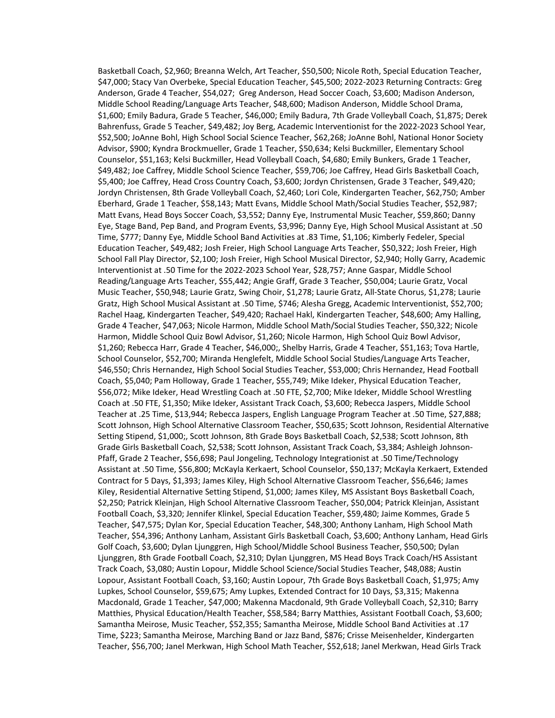Basketball Coach, \$2,960; Breanna Welch, Art Teacher, \$50,500; Nicole Roth, Special Education Teacher, \$47,000; Stacy Van Overbeke, Special Education Teacher, \$45,500; 2022-2023 Returning Contracts: Greg Anderson, Grade 4 Teacher, \$54,027; Greg Anderson, Head Soccer Coach, \$3,600; Madison Anderson, Middle School Reading/Language Arts Teacher, \$48,600; Madison Anderson, Middle School Drama, \$1,600; Emily Badura, Grade 5 Teacher, \$46,000; Emily Badura, 7th Grade Volleyball Coach, \$1,875; Derek Bahrenfuss, Grade 5 Teacher, \$49,482; Joy Berg, Academic Interventionist for the 2022-2023 School Year, \$52,500; JoAnne Bohl, High School Social Science Teacher, \$62,268; JoAnne Bohl, National Honor Society Advisor, \$900; Kyndra Brockmueller, Grade 1 Teacher, \$50,634; Kelsi Buckmiller, Elementary School Counselor, \$51,163; Kelsi Buckmiller, Head Volleyball Coach, \$4,680; Emily Bunkers, Grade 1 Teacher, \$49,482; Joe Caffrey, Middle School Science Teacher, \$59,706; Joe Caffrey, Head Girls Basketball Coach, \$5,400; Joe Caffrey, Head Cross Country Coach, \$3,600; Jordyn Christensen, Grade 3 Teacher, \$49,420; Jordyn Christensen, 8th Grade Volleyball Coach, \$2,460; Lori Cole, Kindergarten Teacher, \$62,750; Amber Eberhard, Grade 1 Teacher, \$58,143; Matt Evans, Middle School Math/Social Studies Teacher, \$52,987; Matt Evans, Head Boys Soccer Coach, \$3,552; Danny Eye, Instrumental Music Teacher, \$59,860; Danny Eye, Stage Band, Pep Band, and Program Events, \$3,996; Danny Eye, High School Musical Assistant at .50 Time, \$777; Danny Eye, Middle School Band Activities at .83 Time, \$1,106; Kimberly Fedeler, Special Education Teacher, \$49,482; Josh Freier, High School Language Arts Teacher, \$50,322; Josh Freier, High School Fall Play Director, \$2,100; Josh Freier, High School Musical Director, \$2,940; Holly Garry, Academic Interventionist at .50 Time for the 2022-2023 School Year, \$28,757; Anne Gaspar, Middle School Reading/Language Arts Teacher, \$55,442; Angie Graff, Grade 3 Teacher, \$50,004; Laurie Gratz, Vocal Music Teacher, \$50,948; Laurie Gratz, Swing Choir, \$1,278; Laurie Gratz, All-State Chorus, \$1,278; Laurie Gratz, High School Musical Assistant at .50 Time, \$746; Alesha Gregg, Academic Interventionist, \$52,700; Rachel Haag, Kindergarten Teacher, \$49,420; Rachael Hakl, Kindergarten Teacher, \$48,600; Amy Halling, Grade 4 Teacher, \$47,063; Nicole Harmon, Middle School Math/Social Studies Teacher, \$50,322; Nicole Harmon, Middle School Quiz Bowl Advisor, \$1,260; Nicole Harmon, High School Quiz Bowl Advisor, \$1,260; Rebecca Harr, Grade 4 Teacher, \$46,000;, Shelby Harris, Grade 4 Teacher, \$51,163; Tova Hartle, School Counselor, \$52,700; Miranda Henglefelt, Middle School Social Studies/Language Arts Teacher, \$46,550; Chris Hernandez, High School Social Studies Teacher, \$53,000; Chris Hernandez, Head Football Coach, \$5,040; Pam Holloway, Grade 1 Teacher, \$55,749; Mike Ideker, Physical Education Teacher, \$56,072; Mike Ideker, Head Wrestling Coach at .50 FTE, \$2,700; Mike Ideker, Middle School Wrestling Coach at .50 FTE, \$1,350; Mike Ideker, Assistant Track Coach, \$3,600; Rebecca Jaspers, Middle School Teacher at .25 Time, \$13,944; Rebecca Jaspers, English Language Program Teacher at .50 Time, \$27,888; Scott Johnson, High School Alternative Classroom Teacher, \$50,635; Scott Johnson, Residential Alternative Setting Stipend, \$1,000;, Scott Johnson, 8th Grade Boys Basketball Coach, \$2,538; Scott Johnson, 8th Grade Girls Basketball Coach, \$2,538; Scott Johnson, Assistant Track Coach, \$3,384; Ashleigh Johnson-Pfaff, Grade 2 Teacher, \$56,698; Paul Jongeling, Technology Integrationist at .50 Time/Technology Assistant at .50 Time, \$56,800; McKayla Kerkaert, School Counselor, \$50,137; McKayla Kerkaert, Extended Contract for 5 Days, \$1,393; James Kiley, High School Alternative Classroom Teacher, \$56,646; James Kiley, Residential Alternative Setting Stipend, \$1,000; James Kiley, MS Assistant Boys Basketball Coach, \$2,250; Patrick Kleinjan, High School Alternative Classroom Teacher, \$50,004; Patrick Kleinjan, Assistant Football Coach, \$3,320; Jennifer Klinkel, Special Education Teacher, \$59,480; Jaime Kommes, Grade 5 Teacher, \$47,575; Dylan Kor, Special Education Teacher, \$48,300; Anthony Lanham, High School Math Teacher, \$54,396; Anthony Lanham, Assistant Girls Basketball Coach, \$3,600; Anthony Lanham, Head Girls Golf Coach, \$3,600; Dylan Ljunggren, High School/Middle School Business Teacher, \$50,500; Dylan Ljunggren, 8th Grade Football Coach, \$2,310; Dylan Ljunggren, MS Head Boys Track Coach/HS Assistant Track Coach, \$3,080; Austin Lopour, Middle School Science/Social Studies Teacher, \$48,088; Austin Lopour, Assistant Football Coach, \$3,160; Austin Lopour, 7th Grade Boys Basketball Coach, \$1,975; Amy Lupkes, School Counselor, \$59,675; Amy Lupkes, Extended Contract for 10 Days, \$3,315; Makenna Macdonald, Grade 1 Teacher, \$47,000; Makenna Macdonald, 9th Grade Volleyball Coach, \$2,310; Barry Matthies, Physical Education/Health Teacher, \$58,584; Barry Matthies, Assistant Football Coach, \$3,600; Samantha Meirose, Music Teacher, \$52,355; Samantha Meirose, Middle School Band Activities at .17 Time, \$223; Samantha Meirose, Marching Band or Jazz Band, \$876; Crisse Meisenhelder, Kindergarten Teacher, \$56,700; Janel Merkwan, High School Math Teacher, \$52,618; Janel Merkwan, Head Girls Track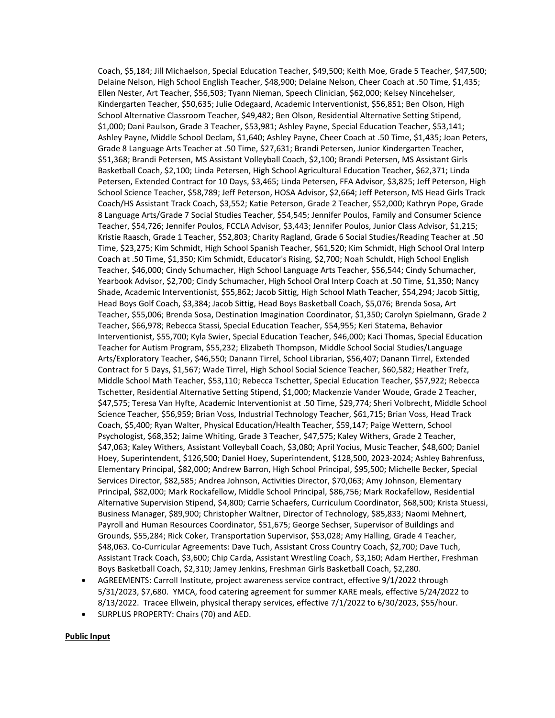Coach, \$5,184; Jill Michaelson, Special Education Teacher, \$49,500; Keith Moe, Grade 5 Teacher, \$47,500; Delaine Nelson, High School English Teacher, \$48,900; Delaine Nelson, Cheer Coach at .50 Time, \$1,435; Ellen Nester, Art Teacher, \$56,503; Tyann Nieman, Speech Clinician, \$62,000; Kelsey Nincehelser, Kindergarten Teacher, \$50,635; Julie Odegaard, Academic Interventionist, \$56,851; Ben Olson, High School Alternative Classroom Teacher, \$49,482; Ben Olson, Residential Alternative Setting Stipend, \$1,000; Dani Paulson, Grade 3 Teacher, \$53,981; Ashley Payne, Special Education Teacher, \$53,141; Ashley Payne, Middle School Declam, \$1,640; Ashley Payne, Cheer Coach at .50 Time, \$1,435; Joan Peters, Grade 8 Language Arts Teacher at .50 Time, \$27,631; Brandi Petersen, Junior Kindergarten Teacher, \$51,368; Brandi Petersen, MS Assistant Volleyball Coach, \$2,100; Brandi Petersen, MS Assistant Girls Basketball Coach, \$2,100; Linda Petersen, High School Agricultural Education Teacher, \$62,371; Linda Petersen, Extended Contract for 10 Days, \$3,465; Linda Petersen, FFA Advisor, \$3,825; Jeff Peterson, High School Science Teacher, \$58,789; Jeff Peterson, HOSA Advisor, \$2,664; Jeff Peterson, MS Head Girls Track Coach/HS Assistant Track Coach, \$3,552; Katie Peterson, Grade 2 Teacher, \$52,000; Kathryn Pope, Grade 8 Language Arts/Grade 7 Social Studies Teacher, \$54,545; Jennifer Poulos, Family and Consumer Science Teacher, \$54,726; Jennifer Poulos, FCCLA Advisor, \$3,443; Jennifer Poulos, Junior Class Advisor, \$1,215; Kristie Raasch, Grade 1 Teacher, \$52,803; Charity Ragland, Grade 6 Social Studies/Reading Teacher at .50 Time, \$23,275; Kim Schmidt, High School Spanish Teacher, \$61,520; Kim Schmidt, High School Oral Interp Coach at .50 Time, \$1,350; Kim Schmidt, Educator's Rising, \$2,700; Noah Schuldt, High School English Teacher, \$46,000; Cindy Schumacher, High School Language Arts Teacher, \$56,544; Cindy Schumacher, Yearbook Advisor, \$2,700; Cindy Schumacher, High School Oral Interp Coach at .50 Time, \$1,350; Nancy Shade, Academic Interventionist, \$55,862; Jacob Sittig, High School Math Teacher, \$54,294; Jacob Sittig, Head Boys Golf Coach, \$3,384; Jacob Sittig, Head Boys Basketball Coach, \$5,076; Brenda Sosa, Art Teacher, \$55,006; Brenda Sosa, Destination Imagination Coordinator, \$1,350; Carolyn Spielmann, Grade 2 Teacher, \$66,978; Rebecca Stassi, Special Education Teacher, \$54,955; Keri Statema, Behavior Interventionist, \$55,700; Kyla Swier, Special Education Teacher, \$46,000; Kaci Thomas, Special Education Teacher for Autism Program, \$55,232; Elizabeth Thompson, Middle School Social Studies/Language Arts/Exploratory Teacher, \$46,550; Danann Tirrel, School Librarian, \$56,407; Danann Tirrel, Extended Contract for 5 Days, \$1,567; Wade Tirrel, High School Social Science Teacher, \$60,582; Heather Trefz, Middle School Math Teacher, \$53,110; Rebecca Tschetter, Special Education Teacher, \$57,922; Rebecca Tschetter, Residential Alternative Setting Stipend, \$1,000; Mackenzie Vander Woude, Grade 2 Teacher, \$47,575; Teresa Van Hyfte, Academic Interventionist at .50 Time, \$29,774; Sheri Volbrecht, Middle School Science Teacher, \$56,959; Brian Voss, Industrial Technology Teacher, \$61,715; Brian Voss, Head Track Coach, \$5,400; Ryan Walter, Physical Education/Health Teacher, \$59,147; Paige Wettern, School Psychologist, \$68,352; Jaime Whiting, Grade 3 Teacher, \$47,575; Kaley Withers, Grade 2 Teacher, \$47,063; Kaley Withers, Assistant Volleyball Coach, \$3,080; April Yocius, Music Teacher, \$48,600; Daniel Hoey, Superintendent, \$126,500; Daniel Hoey, Superintendent, \$128,500, 2023-2024; Ashley Bahrenfuss, Elementary Principal, \$82,000; Andrew Barron, High School Principal, \$95,500; Michelle Becker, Special Services Director, \$82,585; Andrea Johnson, Activities Director, \$70,063; Amy Johnson, Elementary Principal, \$82,000; Mark Rockafellow, Middle School Principal, \$86,756; Mark Rockafellow, Residential Alternative Supervision Stipend, \$4,800; Carrie Schaefers, Curriculum Coordinator, \$68,500; Krista Stuessi, Business Manager, \$89,900; Christopher Waltner, Director of Technology, \$85,833; Naomi Mehnert, Payroll and Human Resources Coordinator, \$51,675; George Sechser, Supervisor of Buildings and Grounds, \$55,284; Rick Coker, Transportation Supervisor, \$53,028; Amy Halling, Grade 4 Teacher, \$48,063. Co-Curricular Agreements: Dave Tuch, Assistant Cross Country Coach, \$2,700; Dave Tuch, Assistant Track Coach, \$3,600; Chip Carda, Assistant Wrestling Coach, \$3,160; Adam Herther, Freshman Boys Basketball Coach, \$2,310; Jamey Jenkins, Freshman Girls Basketball Coach, \$2,280.

- AGREEMENTS: Carroll Institute, project awareness service contract, effective 9/1/2022 through 5/31/2023, \$7,680. YMCA, food catering agreement for summer KARE meals, effective 5/24/2022 to 8/13/2022. Tracee Ellwein, physical therapy services, effective 7/1/2022 to 6/30/2023, \$55/hour.
- SURPLUS PROPERTY: Chairs (70) and AED.

### **Public Input**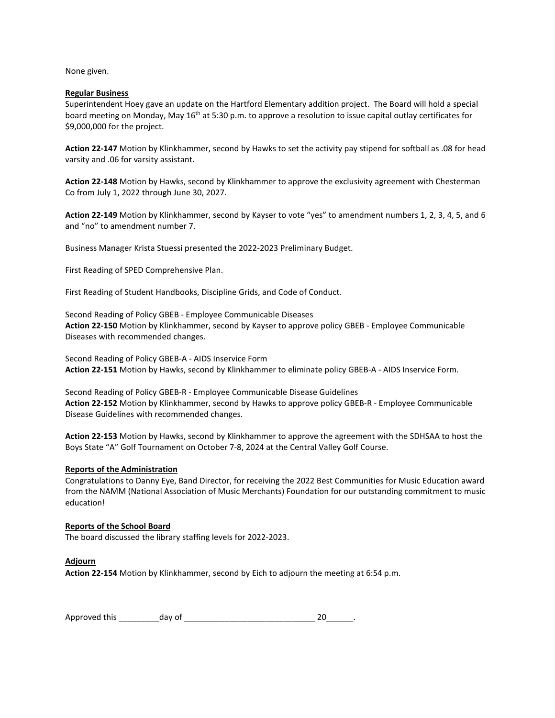None given.

## **Regular Business**

Superintendent Hoey gave an update on the Hartford Elementary addition project. The Board will hold a special board meeting on Monday, May 16<sup>th</sup> at 5:30 p.m. to approve a resolution to issue capital outlay certificates for \$9,000,000 for the project.

**Action 22-147** Motion by Klinkhammer, second by Hawks to set the activity pay stipend for softball as .08 for head varsity and .06 for varsity assistant.

**Action 22-148** Motion by Hawks, second by Klinkhammer to approve the exclusivity agreement with Chesterman Co from July 1, 2022 through June 30, 2027.

**Action 22-149** Motion by Klinkhammer, second by Kayser to vote "yes" to amendment numbers 1, 2, 3, 4, 5, and 6 and "no" to amendment number 7.

Business Manager Krista Stuessi presented the 2022-2023 Preliminary Budget.

First Reading of SPED Comprehensive Plan.

First Reading of Student Handbooks, Discipline Grids, and Code of Conduct.

Second Reading of Policy GBEB - Employee Communicable Diseases **Action 22-150** Motion by Klinkhammer, second by Kayser to approve policy GBEB - Employee Communicable Diseases with recommended changes.

Second Reading of Policy GBEB-A - AIDS Inservice Form **Action 22-151** Motion by Hawks, second by Klinkhammer to eliminate policy GBEB-A - AIDS Inservice Form.

Second Reading of Policy GBEB-R - Employee Communicable Disease Guidelines **Action 22-152** Motion by Klinkhammer, second by Hawks to approve policy GBEB-R - Employee Communicable Disease Guidelines with recommended changes.

**Action 22-153** Motion by Hawks, second by Klinkhammer to approve the agreement with the SDHSAA to host the Boys State "A" Golf Tournament on October 7-8, 2024 at the Central Valley Golf Course.

## **Reports of the Administration**

Congratulations to Danny Eye, Band Director, for receiving the 2022 Best Communities for Music Education award from the NAMM (National Association of Music Merchants) Foundation for our outstanding commitment to music education!

# **Reports of the School Board**

The board discussed the library staffing levels for 2022-2023.

### **Adjourn**

**Action 22-154** Motion by Klinkhammer, second by Eich to adjourn the meeting at 6:54 p.m.

| Approved this | day of |  |
|---------------|--------|--|
|---------------|--------|--|